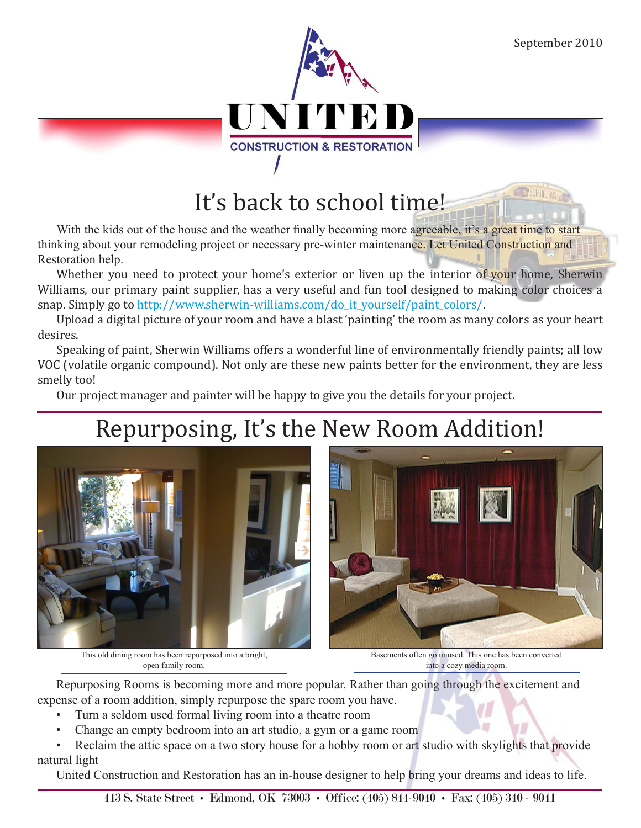

## It's back to school time!

With the kids out of the house and the weather finally becoming more agreeable, it's a great time to start thinking about your remodeling project or necessary pre-winter maintenance. Let United Construction and Restoration help.

Whether you need to protect your home's exterior or liven up the interior of your home, Sherwin Williams, our primary paint supplier, has a very useful and fun tool designed to making color choices a snap. Simply go to http://www.sherwin-williams.com/do\_it\_yourself/paint\_colors/.

Upload a digital picture of your room and have a blast 'painting' the room as many colors as your heart desires.

Speaking of paint, Sherwin Williams offers a wonderful line of environmentally friendly paints; all low VOC (volatile organic compound). Not only are these new paints better for the environment, they are less smelly too!

Our project manager and painter will be happy to give you the details for your project.

# Repurposing, It's the New Room Addition!



This old dining room has been repurposed into a bright, open family room.

Basements often go unused. This one has been converted into a cozy media room.

Repurposing Rooms is becoming more and more popular. Rather than going through the excitement and expense of a room addition, simply repurpose the spare room you have.

- Turn a seldom used formal living room into a theatre room
- Change an empty bedroom into an art studio, a gym or a game room

Reclaim the attic space on a two story house for a hobby room or art studio with skylights that provide natural light

United Construction and Restoration has an in-house designer to help bring your dreams and ideas to life.